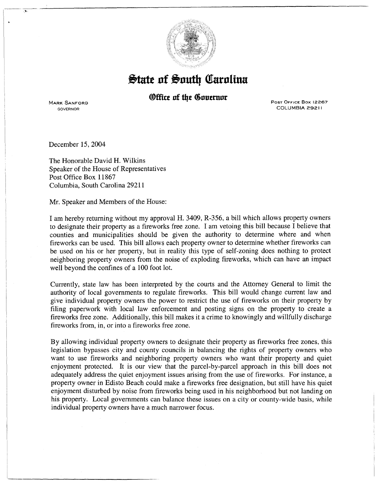

## $\frac{1}{2}$  at  $\frac{1}{2}$  and  $\frac{1}{2}$  and  $\frac{1}{2}$  and  $\frac{1}{2}$  and  $\frac{1}{2}$  and  $\frac{1}{2}$  and  $\frac{1}{2}$  and  $\frac{1}{2}$  and  $\frac{1}{2}$  and  $\frac{1}{2}$  and  $\frac{1}{2}$  and  $\frac{1}{2}$  and  $\frac{1}{2}$  and  $\frac{1}{2}$  and  $\frac{1}{2}$  and

## *®ffice of the Governor*

MARK SANFORD GOVERNOR

Post Office Box 12267 COLUMBIA 29211

December 15, 2004

 $\sim$ 

The Honorable David H. Wilkins Speaker of the House of Representatives Post Office Box 11867 Columbia, South Carolina 29211

Mr. Speaker and Members of the House:

I am hereby returning without my approval H. 3409, R-356, a bill which allows property owners to designate their property as a fireworks free zone. I am vetoing this bill because I believe that counties and municipalities should be given the authority to determine where and when fireworks can be used. This bill allows each property owner to determine whether fireworks can be used on his or her property, but in reality this type of self-zoning does nothing to protect neighboring property owners from the noise of exploding fireworks, which can have an impact well beyond the confines of a 100 foot lot.

Currently, state law has been interpreted by the courts and the Attorney General to limit the authority of local governments to regulate fireworks. This bill would change current law and give individual property owners the power to restrict the use of fireworks on their property by filing paperwork with local law enforcement and posting signs on the property to create a fireworks free zone. Additionally, this bill makes it a crime to knowingly and willfully discharge fireworks from, in, or into a fireworks free zone.

By allowing individual property owners to designate their property as fireworks free zones, this legislation bypasses city and county councils in balancing the rights of property owners who want to use fireworks and neighboring property owners who want their property and quiet enjoyment protected. It is our view that the parcel-by-parcel approach in this bill does not adequately address the quiet enjoyment issues arising from the use of fireworks. For instance, a property owner in Edisto Beach could make a fireworks free designation, but still have his quiet enjoyment disturbed by noise from fireworks being used in his neighborhood but not landing on his property. Local governments can balance these issues on a city or county-wide basis, while individual property owners have a much narrower focus.